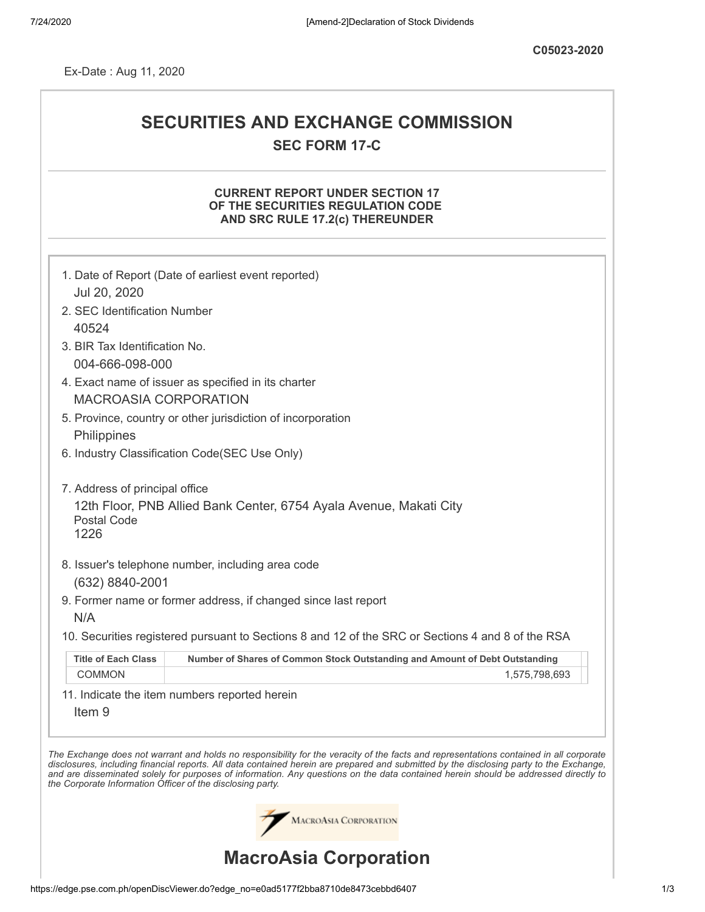Ex-Date : Aug 11, 2020

# **SECURITIES AND EXCHANGE COMMISSION SEC FORM 17-C**

# **CURRENT REPORT UNDER SECTION 17 OF THE SECURITIES REGULATION CODE AND SRC RULE 17.2(c) THEREUNDER**

|                                                            | 1. Date of Report (Date of earliest event reported)                                                                                                                                                                                                                                                                                                                                                                      |
|------------------------------------------------------------|--------------------------------------------------------------------------------------------------------------------------------------------------------------------------------------------------------------------------------------------------------------------------------------------------------------------------------------------------------------------------------------------------------------------------|
| Jul 20, 2020<br>2. SEC Identification Number               |                                                                                                                                                                                                                                                                                                                                                                                                                          |
| 40524                                                      |                                                                                                                                                                                                                                                                                                                                                                                                                          |
| 3. BIR Tax Identification No.                              |                                                                                                                                                                                                                                                                                                                                                                                                                          |
| 004-666-098-000                                            |                                                                                                                                                                                                                                                                                                                                                                                                                          |
|                                                            | 4. Exact name of issuer as specified in its charter                                                                                                                                                                                                                                                                                                                                                                      |
| <b>MACROASIA CORPORATION</b>                               |                                                                                                                                                                                                                                                                                                                                                                                                                          |
|                                                            | 5. Province, country or other jurisdiction of incorporation                                                                                                                                                                                                                                                                                                                                                              |
| Philippines                                                |                                                                                                                                                                                                                                                                                                                                                                                                                          |
|                                                            | 6. Industry Classification Code(SEC Use Only)                                                                                                                                                                                                                                                                                                                                                                            |
|                                                            |                                                                                                                                                                                                                                                                                                                                                                                                                          |
| 7. Address of principal office                             |                                                                                                                                                                                                                                                                                                                                                                                                                          |
| <b>Postal Code</b><br>1226                                 | 12th Floor, PNB Allied Bank Center, 6754 Ayala Avenue, Makati City                                                                                                                                                                                                                                                                                                                                                       |
|                                                            |                                                                                                                                                                                                                                                                                                                                                                                                                          |
|                                                            | 8. Issuer's telephone number, including area code                                                                                                                                                                                                                                                                                                                                                                        |
| (632) 8840-2001                                            |                                                                                                                                                                                                                                                                                                                                                                                                                          |
| N/A                                                        | 9. Former name or former address, if changed since last report                                                                                                                                                                                                                                                                                                                                                           |
|                                                            |                                                                                                                                                                                                                                                                                                                                                                                                                          |
|                                                            | 10. Securities registered pursuant to Sections 8 and 12 of the SRC or Sections 4 and 8 of the RSA                                                                                                                                                                                                                                                                                                                        |
| <b>Title of Each Class</b>                                 | Number of Shares of Common Stock Outstanding and Amount of Debt Outstanding                                                                                                                                                                                                                                                                                                                                              |
| <b>COMMON</b>                                              | 1,575,798,693                                                                                                                                                                                                                                                                                                                                                                                                            |
|                                                            | 11. Indicate the item numbers reported herein                                                                                                                                                                                                                                                                                                                                                                            |
| Item <sub>9</sub>                                          |                                                                                                                                                                                                                                                                                                                                                                                                                          |
|                                                            |                                                                                                                                                                                                                                                                                                                                                                                                                          |
| the Corporate Information Officer of the disclosing party. | The Exchange does not warrant and holds no responsibility for the veracity of the facts and representations contained in all corporate<br>disclosures, including financial reports. All data contained herein are prepared and submitted by the disclosing party to the Exchange,<br>and are disseminated solely for purposes of information. Any questions on the data contained herein should be addressed directly to |
|                                                            | <b>MACROASIA CORPORATION</b>                                                                                                                                                                                                                                                                                                                                                                                             |
|                                                            | <b>MacroAsia Corporation</b>                                                                                                                                                                                                                                                                                                                                                                                             |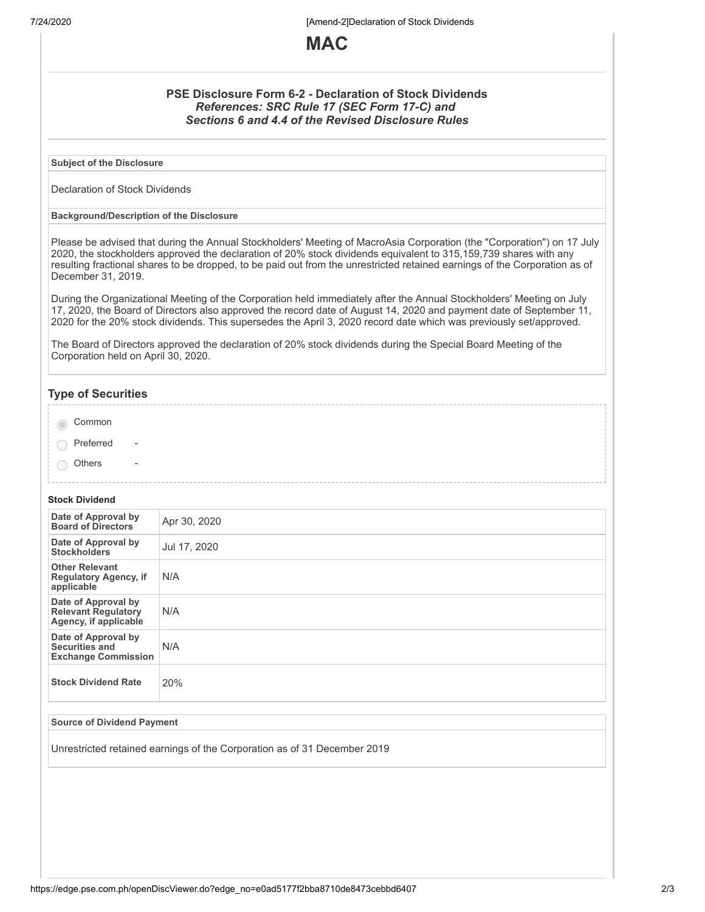7/24/2020 [Amend-2]Declaration of Stock Dividends



## **PSE Disclosure Form 6-2 - Declaration of Stock Dividends** *References: SRC Rule 17 (SEC Form 17-C) and Sections 6 and 4.4 of the Revised Disclosure Rules*

**Subject of the Disclosure**

Declaration of Stock Dividends

#### **Background/Description of the Disclosure**

Please be advised that during the Annual Stockholders' Meeting of MacroAsia Corporation (the "Corporation") on 17 July 2020, the stockholders approved the declaration of 20% stock dividends equivalent to 315,159,739 shares with any resulting fractional shares to be dropped, to be paid out from the unrestricted retained earnings of the Corporation as of December 31, 2019.

During the Organizational Meeting of the Corporation held immediately after the Annual Stockholders' Meeting on July 17, 2020, the Board of Directors also approved the record date of August 14, 2020 and payment date of September 11, 2020 for the 20% stock dividends. This supersedes the April 3, 2020 record date which was previously set/approved.

The Board of Directors approved the declaration of 20% stock dividends during the Special Board Meeting of the Corporation held on April 30, 2020.

## **Type of Securities**

| Common |
|--------|
|--------|

- $\bigcap$  Preferred
- **Others**

#### **Stock Dividend**

| Date of Approval by<br><b>Board of Directors</b>                           | Apr 30, 2020 |
|----------------------------------------------------------------------------|--------------|
| Date of Approval by<br><b>Stockholders</b>                                 | Jul 17, 2020 |
| <b>Other Relevant</b><br><b>Regulatory Agency, if</b><br>applicable        | N/A          |
| Date of Approval by<br><b>Relevant Regulatory</b><br>Agency, if applicable | N/A          |
| Date of Approval by<br>Securities and<br><b>Exchange Commission</b>        | N/A          |
| <b>Stock Dividend Rate</b>                                                 | 20%          |

#### **Source of Dividend Payment**

Unrestricted retained earnings of the Corporation as of 31 December 2019